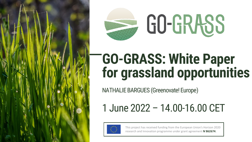

# **GO-GRASS: White Paper for grassland opportunities**

NATHALIE BARGUES (Greenovate! Europe)

1 June 2022 – 14.00-16.00 CET



This project has received funding from the European Union's Horizon 2020 research and Innovation programme under grant agreement **N◦862674**.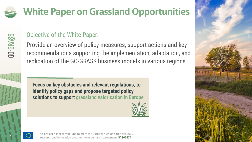### **White Paper on Grassland Opportunities**



### Objective of the White Paper:

Provide an overview of policy measures, support actions and key recommendations supporting the implementation, adaptation, and replication of the GO-GRASS business models in various regions.



**2**

**Focus on key obstacles and relevant regulations, to identify policy gaps and propose targeted policy solutions to support grassland valorisation in Europe**





This project has received funding from the European Union's Horizon 2020 research and innovation programme under grant agreement **N° 862674**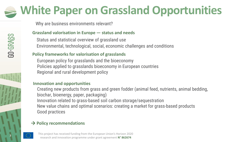## **White Paper on Grassland Opportunities**

Why are business environments relevant?

#### **Grassland valorisation in Europe — status and needs**

Status and statistical overview of grassland use Environmental, technological, social, economic challenges and conditions

#### **Policy frameworks for valorisation of grasslands**

European policy for grasslands and the bioeconomy Policies applied to grasslands bioeconomy in European countries Regional and rural development policy

#### **Innovation and opportunities**

Creating new products from grass and green fodder (animal feed, nutrients, animal bedding, biochar, bioenergy, paper, packaging) Innovation related to grass-based soil carbon storage/sequestration New value chains and optimal scenarios: creating a market for grass-based products Good practices

#### → **Policy recommendations**

This project has received funding from the European Union's Horizon 2020 research and innovation programme under grant agreement **N° 862674**

**3**